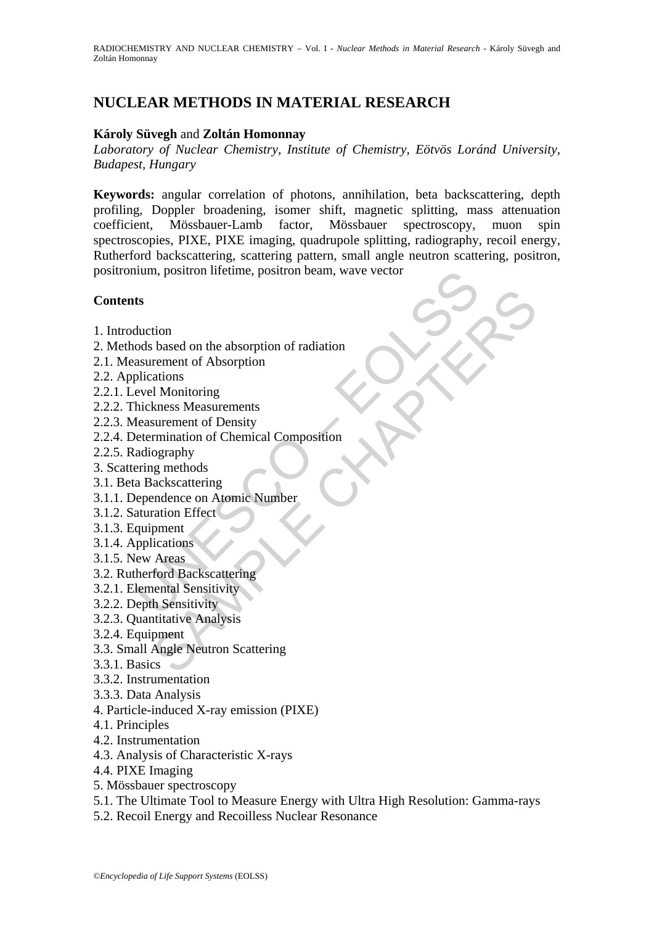# **NUCLEAR METHODS IN MATERIAL RESEARCH**

### **Károly Süvegh** and **Zoltán Homonnay**

*Laboratory of Nuclear Chemistry, Institute of Chemistry, Eötvös Loránd University, Budapest, Hungary* 

num, positron lifetime, positron beam, wave vector<br>
ts<br>
duction<br>
ods based on the absorption<br>
ollications<br>
evel Monitoring<br>
evel Monitoring<br>
evel Monitoring<br>
the exasurements<br>
feasurement of Density<br>
etermination of Chemic **Keywords:** angular correlation of photons, annihilation, beta backscattering, depth profiling, Doppler broadening, isomer shift, magnetic splitting, mass attenuation coefficient, Mössbauer-Lamb factor, Mössbauer spectroscopy, muon spin spectroscopies, PIXE, PIXE imaging, quadrupole splitting, radiography, recoil energy, Rutherford backscattering, scattering pattern, small angle neutron scattering, positron, positronium, positron lifetime, positron beam, wave vector

## **Contents**

- 1. Introduction
- tion<br>
tion<br>
based on the absorption<br>
rement of Absorption<br>
rement of Absorption<br>
ations<br>
kness Measurements<br>
surement of Density<br>
surement of Chemical Composition<br>
ography<br>
maraton Effect<br>
ackscattering<br>
pment<br>
proment<br>
pr 2. Methods based on the absorption of radiation
- 2.1. Measurement of Absorption
- 2.2. Applications
- 2.2.1. Level Monitoring
- 2.2.2. Thickness Measurements
- 2.2.3. Measurement of Density
- 2.2.4. Determination of Chemical Composition
- 2.2.5. Radiography
- 3. Scattering methods
- 3.1. Beta Backscattering
- 3.1.1. Dependence on Atomic Number
- 3.1.2. Saturation Effect
- 3.1.3. Equipment
- 3.1.4. Applications
- 3.1.5. New Areas
- 3.2. Rutherford Backscattering
- 3.2.1. Elemental Sensitivity
- 3.2.2. Depth Sensitivity
- 3.2.3. Quantitative Analysis
- 3.2.4. Equipment
- 3.3. Small Angle Neutron Scattering
- 3.3.1. Basics
- 3.3.2. Instrumentation
- 3.3.3. Data Analysis
- 4. Particle-induced X-ray emission (PIXE)
- 4.1. Principles
- 4.2. Instrumentation
- 4.3. Analysis of Characteristic X-rays
- 4.4. PIXE Imaging
- 5. Mössbauer spectroscopy
- 5.1. The Ultimate Tool to Measure Energy with Ultra High Resolution: Gamma-rays
- 5.2. Recoil Energy and Recoilless Nuclear Resonance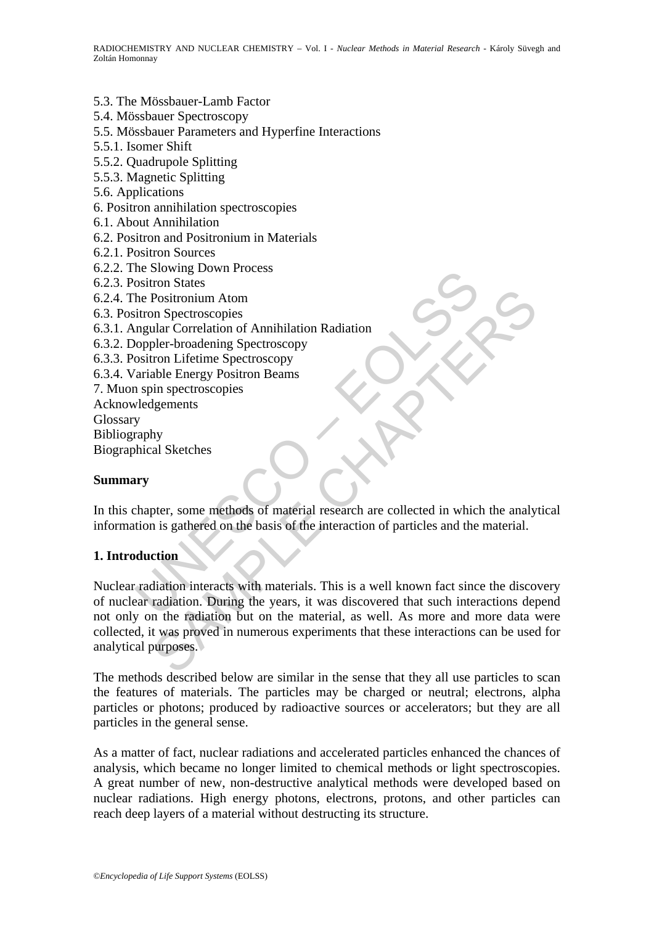#### 5.3. The Mössbauer-Lamb Factor

5.4. Mössbauer Spectroscopy

- 5.5. Mössbauer Parameters and Hyperfine Interactions
- 5.5.1. Isomer Shift
- 5.5.2. Quadrupole Splitting
- 5.5.3. Magnetic Splitting
- 5.6. Applications
- 6. Positron annihilation spectroscopies
- 6.1. About Annihilation
- 6.2. Positron and Positronium in Materials
- 6.2.1. Positron Sources
- 6.2.2. The Slowing Down Process
- 6.2.3. Positron States
- 6.2.4. The Positronium Atom
- 6.3. Positron Spectroscopies
- 6.3.1. Angular Correlation of Annihilation Radiation
- 6.3.2. Doppler-broadening Spectroscopy
- 6.3.3. Positron Lifetime Spectroscopy

6.3.4. Variable Energy Positron Beams

- 7. Muon spin spectroscopies
- Acknowledgements

Glossary

Bibliography

Biographical Sketches

#### **Summary**

In this chapter, some methods of material research are collected in which the analytical information is gathered on the basis of the interaction of particles and the material.

## **1. Introduction**

The Slowing Down Flocess<br>
ositron States<br>
the Positronium Atom<br>
itron Spectroscopies<br>
ingular Correlation of Annihilation Radiation<br>
cositron Lifetime Spectroscopy<br>
aranable Energy Positron Beams<br>
a spin spectroscopies<br>
ar Positronium Atom<br>
Positronium Atom<br>
allar Correlation of Annihilation Radiation<br>
pler-broadening Spectroscopy<br>
ron Lifetime Spectroscopy<br>
tron Lifetime Spectroscopy<br>
why<br>
hy<br>
hy<br>
tal Sketches<br>
perrection Beams<br>
perrection Nuclear radiation interacts with materials. This is a well known fact since the discovery of nuclear radiation. During the years, it was discovered that such interactions depend not only on the radiation but on the material, as well. As more and more data were collected, it was proved in numerous experiments that these interactions can be used for analytical purposes.

The methods described below are similar in the sense that they all use particles to scan the features of materials. The particles may be charged or neutral; electrons, alpha particles or photons; produced by radioactive sources or accelerators; but they are all particles in the general sense.

As a matter of fact, nuclear radiations and accelerated particles enhanced the chances of analysis, which became no longer limited to chemical methods or light spectroscopies. A great number of new, non-destructive analytical methods were developed based on nuclear radiations. High energy photons, electrons, protons, and other particles can reach deep layers of a material without destructing its structure.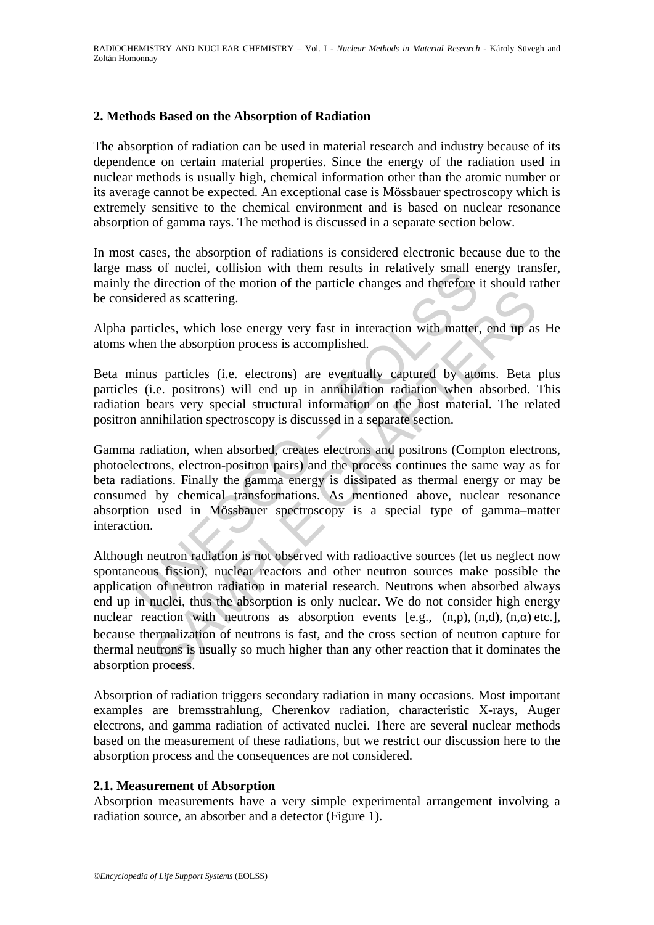### **2. Methods Based on the Absorption of Radiation**

The absorption of radiation can be used in material research and industry because of its dependence on certain material properties. Since the energy of the radiation used in nuclear methods is usually high, chemical information other than the atomic number or its average cannot be expected. An exceptional case is Mössbauer spectroscopy which is extremely sensitive to the chemical environment and is based on nuclear resonance absorption of gamma rays. The method is discussed in a separate section below.

In most cases, the absorption of radiations is considered electronic because due to the large mass of nuclei, collision with them results in relatively small energy transfer, mainly the direction of the motion of the particle changes and therefore it should rather be considered as scattering.

Alpha particles, which lose energy very fast in interaction with matter, end up as He atoms when the absorption process is accomplished.

Beta minus particles (i.e. electrons) are eventually captured by atoms. Beta plus particles (i.e. positrons) will end up in annihilation radiation when absorbed. This radiation bears very special structural information on the host material. The related positron annihilation spectroscopy is discussed in a separate section.

ass of mucher, connession with them results in relatively shall estable the direction of the motion of the particle changes and therefore idered as scattering.<br>
Darticles, which lose energy very fast in interaction with ma Gamma radiation, when absorbed, creates electrons and positrons (Compton electrons, photoelectrons, electron-positron pairs) and the process continues the same way as for beta radiations. Finally the gamma energy is dissipated as thermal energy or may be consumed by chemical transformations. As mentioned above, nuclear resonance absorption used in Mössbauer spectroscopy is a special type of gamma–matter interaction.

relation is the control is a subsection of neutrons is fast, and the recessor of neutron sistering process is accomplished.<br>
In the absorption process is accomplished.<br>
See particles (i.e. electrons) are eventually capture Although neutron radiation is not observed with radioactive sources (let us neglect now spontaneous fission), nuclear reactors and other neutron sources make possible the application of neutron radiation in material research. Neutrons when absorbed always end up in nuclei, thus the absorption is only nuclear. We do not consider high energy nuclear reaction with neutrons as absorption events [e.g.,  $(n,p)$ ,  $(n,d)$ ,  $(n,\alpha)$  etc.], because thermalization of neutrons is fast, and the cross section of neutron capture for thermal neutrons is usually so much higher than any other reaction that it dominates the absorption process.

Absorption of radiation triggers secondary radiation in many occasions. Most important examples are bremsstrahlung, Cherenkov radiation, characteristic X-rays, Auger electrons, and gamma radiation of activated nuclei. There are several nuclear methods based on the measurement of these radiations, but we restrict our discussion here to the absorption process and the consequences are not considered.

#### **2.1. Measurement of Absorption**

Absorption measurements have a very simple experimental arrangement involving a radiation source, an absorber and a detector (Figure 1).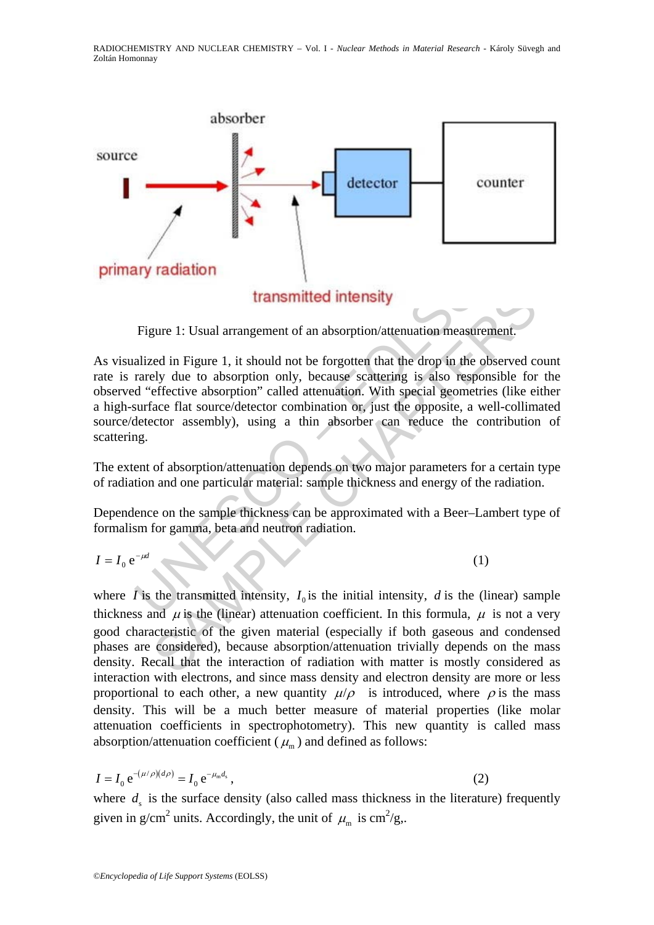

Figure 1: Usual arrangement of an absorption/attenuation measurement.

**Example 18 IV Taxabrum**<br> **Example 1.** Usual arrangement of an absorption/attenuation measur<br>
alized in Figure 1, it should not be forgotten that the drop in the<br>
rarely due to absorption only, because scattering is also **Example 1:** Usual arrangement of an absorption/attenuation measurement.<br>
Each in Figure 1, it should not be forgotten that the drop in the observed cely due to absorption only, because scattering is also responsible for<br> As visualized in Figure 1, it should not be forgotten that the drop in the observed count rate is rarely due to absorption only, because scattering is also responsible for the observed "effective absorption" called attenuation. With special geometries (like either a high-surface flat source/detector combination or, just the opposite, a well-collimated source/detector assembly), using a thin absorber can reduce the contribution of scattering.

The extent of absorption/attenuation depends on two major parameters for a certain type of radiation and one particular material: sample thickness and energy of the radiation.

Dependence on the sample thickness can be approximated with a Beer–Lambert type of formalism for gamma, beta and neutron radiation.

$$
I = I_0 e^{-\mu d} \tag{1}
$$

where  $\hat{I}$  is the transmitted intensity,  $I_0$  is the initial intensity,  $d$  is the (linear) sample thickness and  $\mu$  is the (linear) attenuation coefficient. In this formula,  $\mu$  is not a very good characteristic of the given material (especially if both gaseous and condensed phases are considered), because absorption/attenuation trivially depends on the mass density. Recall that the interaction of radiation with matter is mostly considered as interaction with electrons, and since mass density and electron density are more or less proportional to each other, a new quantity  $\mu/\rho$  is introduced, where  $\rho$  is the mass density. This will be a much better measure of material properties (like molar attenuation coefficients in spectrophotometry). This new quantity is called mass absorption/attenuation coefficient ( $\mu_{m}$ ) and defined as follows:

$$
I = I_0 e^{-(\mu/\rho)(d\rho)} = I_0 e^{-\mu_m d_s},
$$
\n(2)

where  $d_s$  is the surface density (also called mass thickness in the literature) frequently given in g/cm<sup>2</sup> units. Accordingly, the unit of  $\mu_m$  is cm<sup>2</sup>/g,.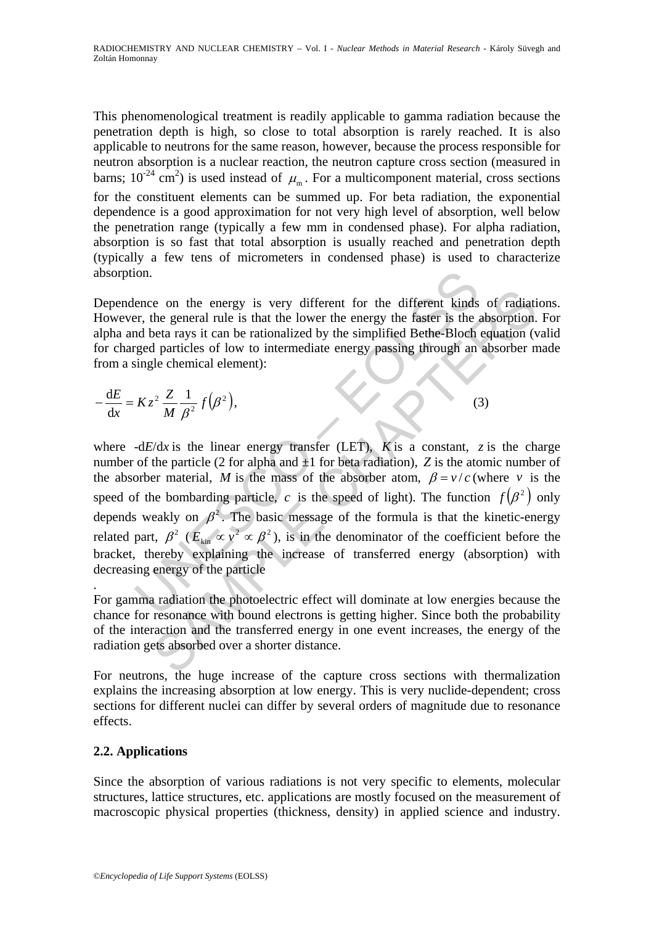This phenomenological treatment is readily applicable to gamma radiation because the penetration depth is high, so close to total absorption is rarely reached. It is also applicable to neutrons for the same reason, however, because the process responsible for neutron absorption is a nuclear reaction, the neutron capture cross section (measured in barns;  $10^{-24}$  cm<sup>2</sup>) is used instead of  $\mu_{\rm m}$ . For a multicomponent material, cross sections for the constituent elements can be summed up. For beta radiation, the exponential dependence is a good approximation for not very high level of absorption, well below the penetration range (typically a few mm in condensed phase). For alpha radiation, absorption is so fast that total absorption is usually reached and penetration depth (typically a few tens of micrometers in condensed phase) is used to characterize absorption.

Dependence on the energy is very different for the different kinds of radiations. However, the general rule is that the lower the energy the faster is the absorption. For alpha and beta rays it can be rationalized by the simplified Bethe-Bloch equation (valid for charged particles of low to intermediate energy passing through an absorber made from a single chemical element):

$$
-\frac{dE}{dx} = Kz^2 \frac{Z}{M} \frac{1}{\beta^2} f(\beta^2),
$$
 (3)

ion.<br>
ion.<br>
ence on the energy is very different for the different kinds<br>
r, the general rule is that the lower the energy the faster is the and<br>
beta rays it can be rationalized by the simplified Bethe-Bloch<br>
rigged part is of moreover the energy is very different for the different kinds of radiation<br>the general rule is that the lower the energy the faster is the absorption.<br>
beat rays it can be rationalized by the simplified Bethe-Bloch where  $-dE/dx$  is the linear energy transfer (LET), *K* is a constant, *z* is the charge number of the particle (2 for alpha and  $\pm 1$  for beta radiation), *Z* is the atomic number of the absorber material, *M* is the mass of the absorber atom,  $\beta = v/c$  (where *v* is the speed of the bombarding particle, *c* is the speed of light). The function  $f(\beta^2)$  only depends weakly on  $\beta^2$ . The basic message of the formula is that the kinetic-energy related part,  $\beta^2$  ( $E_{kin} \propto v^2 \propto \beta^2$ ), is in the denominator of the coefficient before the bracket, thereby explaining the increase of transferred energy (absorption) with decreasing energy of the particle

. For gamma radiation the photoelectric effect will dominate at low energies because the chance for resonance with bound electrons is getting higher. Since both the probability of the interaction and the transferred energy in one event increases, the energy of the radiation gets absorbed over a shorter distance.

For neutrons, the huge increase of the capture cross sections with thermalization explains the increasing absorption at low energy. This is very nuclide-dependent; cross sections for different nuclei can differ by several orders of magnitude due to resonance effects.

## **2.2. Applications**

Since the absorption of various radiations is not very specific to elements, molecular structures, lattice structures, etc. applications are mostly focused on the measurement of macroscopic physical properties (thickness, density) in applied science and industry.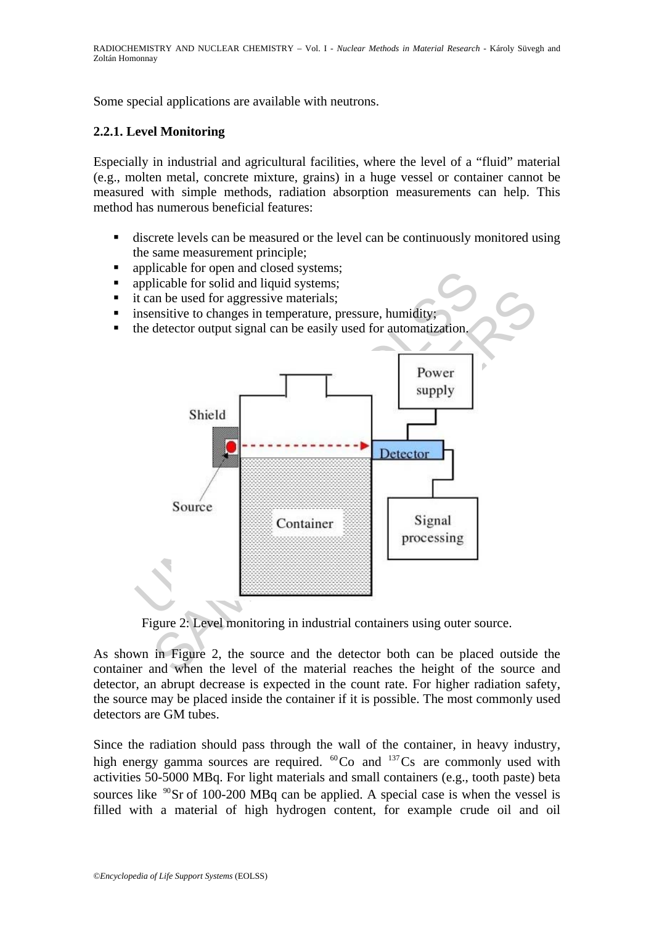RADIOCHEMISTRY AND NUCLEAR CHEMISTRY *–* Vol. I - *Nuclear Methods in Material Research -* Károly Süvegh and Zoltán Homonnay

Some special applications are available with neutrons.

### **2.2.1. Level Monitoring**

Especially in industrial and agricultural facilities, where the level of a "fluid" material (e.g., molten metal, concrete mixture, grains) in a huge vessel or container cannot be measured with simple methods, radiation absorption measurements can help. This method has numerous beneficial features:

- discrete levels can be measured or the level can be continuously monitored using the same measurement principle;
- applicable for open and closed systems;
- applicable for solid and liquid systems;
- it can be used for aggressive materials:
- **EXECUTE:** insensitive to changes in temperature, pressure, humidity;
- $\blacksquare$  the detector output signal can be easily used for automatization.



Figure 2: Level monitoring in industrial containers using outer source.

As shown in Figure 2, the source and the detector both can be placed outside the container and when the level of the material reaches the height of the source and detector, an abrupt decrease is expected in the count rate. For higher radiation safety, the source may be placed inside the container if it is possible. The most commonly used detectors are GM tubes.

Since the radiation should pass through the wall of the container, in heavy industry, high energy gamma sources are required.  ${}^{60}Co$  and  ${}^{137}Cs$  are commonly used with activities 50-5000 MBq. For light materials and small containers (e.g., tooth paste) beta sources like  $\mathrm{^{90}Sr}$  of 100-200 MBq can be applied. A special case is when the vessel is filled with a material of high hydrogen content, for example crude oil and oil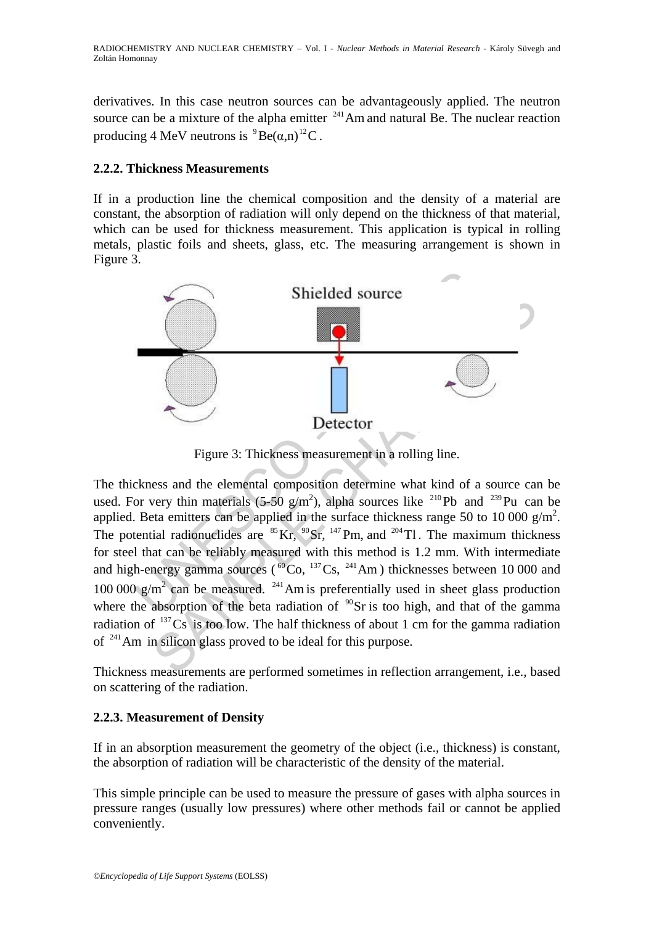derivatives. In this case neutron sources can be advantageously applied. The neutron source can be a mixture of the alpha emitter  $^{241}$ Am and natural Be. The nuclear reaction producing 4 MeV neutrons is  ${}^{9}Be(\alpha,n)$ <sup>12</sup>C.

## **2.2.2. Thickness Measurements**

If in a production line the chemical composition and the density of a material are constant, the absorption of radiation will only depend on the thickness of that material, which can be used for thickness measurement. This application is typical in rolling metals, plastic foils and sheets, glass, etc. The measuring arrangement is shown in Figure 3.



Figure 3: Thickness measurement in a rolling line.

Shielded source<br>
Shielded source<br>
Shielded source<br>
Shielded source<br>
Shielded source<br>
Shielded source<br>
Shielded source<br>
Shielded source<br>
Shielded source<br>
Shielded source<br>
Shielded source<br>
Shielded in the surface this means The thickness and the elemental composition determine what kind of a source can be used. For very thin materials (5-50  $g/m^2$ ), alpha sources like <sup>210</sup>Pb and <sup>239</sup>Pu can be applied. Beta emitters can be applied in the surface thickness range 50 to 10 000  $g/m^2$ . The potential radionuclides are  $^{85}$  Kr,  $^{90}$  Sr,  $^{147}$  Pm, and  $^{204}$  Tl. The maximum thickness for steel that can be reliably measured with this method is 1.2 mm. With intermediate and high-energy gamma sources ( ${}^{60}Co$ ,  ${}^{137}Cs$ ,  ${}^{241}Am$ ) thicknesses between 10 000 and 100 000  $g/m^2$  can be measured. <sup>241</sup> Am is preferentially used in sheet glass production where the absorption of the beta radiation of  $\rm{^{90}Sr}$  is too high, and that of the gamma radiation of  $137\text{Cs}$  is too low. The half thickness of about 1 cm for the gamma radiation of 241Am in silicon glass proved to be ideal for this purpose.

Thickness measurements are performed sometimes in reflection arrangement, i.e., based on scattering of the radiation.

## **2.2.3. Measurement of Density**

If in an absorption measurement the geometry of the object (i.e., thickness) is constant, the absorption of radiation will be characteristic of the density of the material.

This simple principle can be used to measure the pressure of gases with alpha sources in pressure ranges (usually low pressures) where other methods fail or cannot be applied conveniently.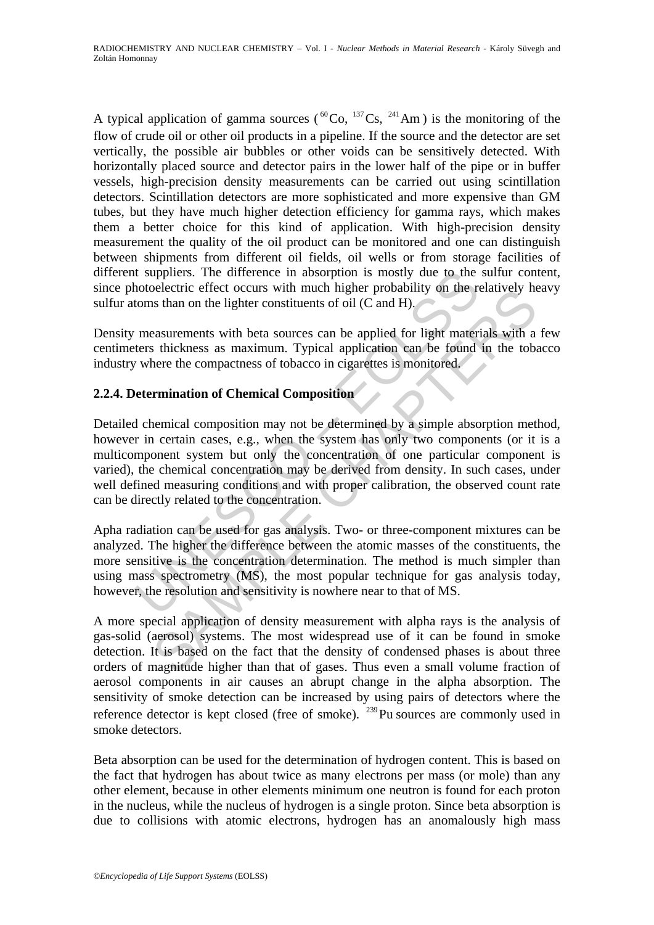A typical application of gamma sources ( ${}^{60}Co$ ,  ${}^{137}Cs$ ,  ${}^{241}Am$ ) is the monitoring of the flow of crude oil or other oil products in a pipeline. If the source and the detector are set vertically, the possible air bubbles or other voids can be sensitively detected. With horizontally placed source and detector pairs in the lower half of the pipe or in buffer vessels, high-precision density measurements can be carried out using scintillation detectors. Scintillation detectors are more sophisticated and more expensive than GM tubes, but they have much higher detection efficiency for gamma rays, which makes them a better choice for this kind of application. With high-precision density measurement the quality of the oil product can be monitored and one can distinguish between shipments from different oil fields, oil wells or from storage facilities of different suppliers. The difference in absorption is mostly due to the sulfur content, since photoelectric effect occurs with much higher probability on the relatively heavy sulfur atoms than on the lighter constituents of oil (C and H).

Density measurements with beta sources can be applied for light materials with a few centimeters thickness as maximum. Typical application can be found in the tobacco industry where the compactness of tobacco in cigarettes is monitored.

## **2.2.4. Determination of Chemical Composition**

It suppliers. The difference in absorption is mostly due to the<br>hotoelectric effect occurs with much higher probability on the rotoms than on the lighter constituents of oil (C and H).<br>measurements with beta sources can be betective entert occurs with much migner probability on the relatively he<br>signarments with beta sources can be applied for light materials with a<br>sautrements with beta sources can be applied for light materials with a<br>stat Detailed chemical composition may not be determined by a simple absorption method, however in certain cases, e.g., when the system has only two components (or it is a multicomponent system but only the concentration of one particular component is varied), the chemical concentration may be derived from density. In such cases, under well defined measuring conditions and with proper calibration, the observed count rate can be directly related to the concentration.

Apha radiation can be used for gas analysis. Two- or three-component mixtures can be analyzed. The higher the difference between the atomic masses of the constituents, the more sensitive is the concentration determination. The method is much simpler than using mass spectrometry (MS), the most popular technique for gas analysis today, however, the resolution and sensitivity is nowhere near to that of MS.

A more special application of density measurement with alpha rays is the analysis of gas-solid (aerosol) systems. The most widespread use of it can be found in smoke detection. It is based on the fact that the density of condensed phases is about three orders of magnitude higher than that of gases. Thus even a small volume fraction of aerosol components in air causes an abrupt change in the alpha absorption. The sensitivity of smoke detection can be increased by using pairs of detectors where the reference detector is kept closed (free of smoke).  $^{239}$ Pu sources are commonly used in smoke detectors.

Beta absorption can be used for the determination of hydrogen content. This is based on the fact that hydrogen has about twice as many electrons per mass (or mole) than any other element, because in other elements minimum one neutron is found for each proton in the nucleus, while the nucleus of hydrogen is a single proton. Since beta absorption is due to collisions with atomic electrons, hydrogen has an anomalously high mass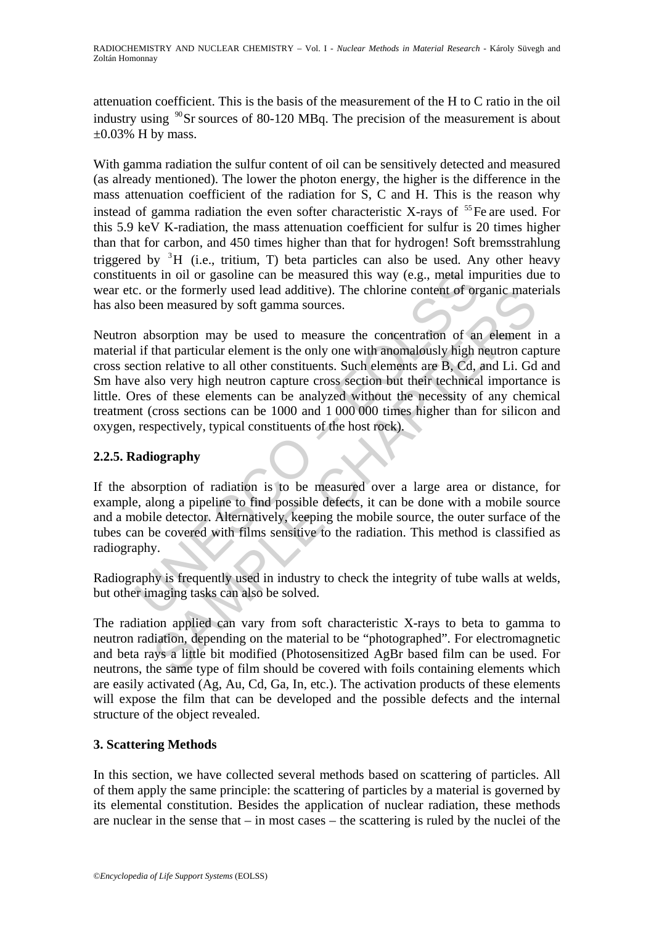attenuation coefficient. This is the basis of the measurement of the H to C ratio in the oil industry using  $\rm{^{90}Sr}$  sources of 80-120 MBq. The precision of the measurement is about  $\pm 0.03\%$  H by mass.

With gamma radiation the sulfur content of oil can be sensitively detected and measured (as already mentioned). The lower the photon energy, the higher is the difference in the mass attenuation coefficient of the radiation for S, C and H. This is the reason why instead of gamma radiation the even softer characteristic X-rays of  $^{55}$ Fe are used. For this 5.9 keV K-radiation, the mass attenuation coefficient for sulfur is 20 times higher than that for carbon, and 450 times higher than that for hydrogen! Soft bremsstrahlung triggered by  ${}^{3}H$  (i.e., tritium, T) beta particles can also be used. Any other heavy constituents in oil or gasoline can be measured this way (e.g., metal impurities due to wear etc. or the formerly used lead additive). The chlorine content of organic materials has also been measured by soft gamma sources.

ents in oil or gasoline can be measured this way (e.g., metal im<br>c. or the formerly used lead additive). The chlorine content of or;<br>been measured by soft gamma sources.<br>1 absorption may be used to measure the concentratio of the formerly used lead additive). The chlorine content of organic mate<br>en measured by soft gamma sources.<br>Sosorption may be used to measure the concentration of an element<br>that particular element is the only one with am Neutron absorption may be used to measure the concentration of an element in a material if that particular element is the only one with anomalously high neutron capture cross section relative to all other constituents. Such elements are B, Cd, and Li. Gd and Sm have also very high neutron capture cross section but their technical importance is little. Ores of these elements can be analyzed without the necessity of any chemical treatment (cross sections can be 1000 and 1 000 000 times higher than for silicon and oxygen, respectively, typical constituents of the host rock).

# **2.2.5. Radiography**

If the absorption of radiation is to be measured over a large area or distance, for example, along a pipeline to find possible defects, it can be done with a mobile source and a mobile detector. Alternatively, keeping the mobile source, the outer surface of the tubes can be covered with films sensitive to the radiation. This method is classified as radiography.

Radiography is frequently used in industry to check the integrity of tube walls at welds, but other imaging tasks can also be solved.

The radiation applied can vary from soft characteristic X-rays to beta to gamma to neutron radiation, depending on the material to be "photographed". For electromagnetic and beta rays a little bit modified (Photosensitized AgBr based film can be used. For neutrons, the same type of film should be covered with foils containing elements which are easily activated (Ag, Au, Cd, Ga, In, etc.). The activation products of these elements will expose the film that can be developed and the possible defects and the internal structure of the object revealed.

## **3. Scattering Methods**

In this section, we have collected several methods based on scattering of particles. All of them apply the same principle: the scattering of particles by a material is governed by its elemental constitution. Besides the application of nuclear radiation, these methods are nuclear in the sense that – in most cases – the scattering is ruled by the nuclei of the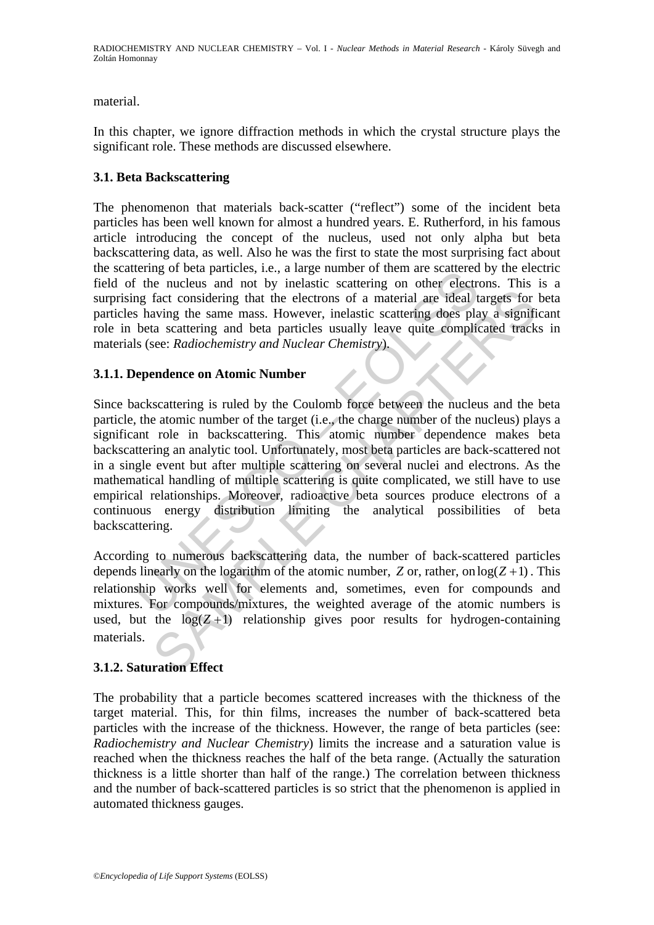material.

In this chapter, we ignore diffraction methods in which the crystal structure plays the significant role. These methods are discussed elsewhere.

## **3.1. Beta Backscattering**

The phenomenon that materials back-scatter ("reflect") some of the incident beta particles has been well known for almost a hundred years. E. Rutherford, in his famous article introducing the concept of the nucleus, used not only alpha but beta backscattering data, as well. Also he was the first to state the most surprising fact about the scattering of beta particles, i.e., a large number of them are scattered by the electric field of the nucleus and not by inelastic scattering on other electrons. This is a surprising fact considering that the electrons of a material are ideal targets for beta particles having the same mass. However, inelastic scattering does play a significant role in beta scattering and beta particles usually leave quite complicated tracks in materials (see: *Radiochemistry and Nuclear Chemistry*).

## **3.1.1. Dependence on Atomic Number**

Eining of oeta particles, i.e., a large inunible of their are scattering of the nucleus and not by inelastic scattering on other electrons of a having the same mass. However, inelastic scattering does planet is having the fact considering that the electrons of a material are ideal targets for<br>fact considering that the electrons of a material are ideal targets for<br>aving the same mass. However, inelastic scattering does play a signifi<br>a scat Since backscattering is ruled by the Coulomb force between the nucleus and the beta particle, the atomic number of the target (i.e., the charge number of the nucleus) plays a significant role in backscattering. This atomic number dependence makes beta backscattering an analytic tool. Unfortunately, most beta particles are back-scattered not in a single event but after multiple scattering on several nuclei and electrons. As the mathematical handling of multiple scattering is quite complicated, we still have to use empirical relationships. Moreover, radioactive beta sources produce electrons of a continuous energy distribution limiting the analytical possibilities of beta backscattering.

According to numerous backscattering data, the number of back-scattered particles depends linearly on the logarithm of the atomic number, *Z* or, rather, on  $log(Z + 1)$ . This relationship works well for elements and, sometimes, even for compounds and mixtures. For compounds/mixtures, the weighted average of the atomic numbers is used, but the  $log(Z+1)$  relationship gives poor results for hydrogen-containing materials.

## **3.1.2. Saturation Effect**

The probability that a particle becomes scattered increases with the thickness of the target material. This, for thin films, increases the number of back-scattered beta particles with the increase of the thickness. However, the range of beta particles (see: *Radiochemistry and Nuclear Chemistry*) limits the increase and a saturation value is reached when the thickness reaches the half of the beta range. (Actually the saturation thickness is a little shorter than half of the range.) The correlation between thickness and the number of back-scattered particles is so strict that the phenomenon is applied in automated thickness gauges.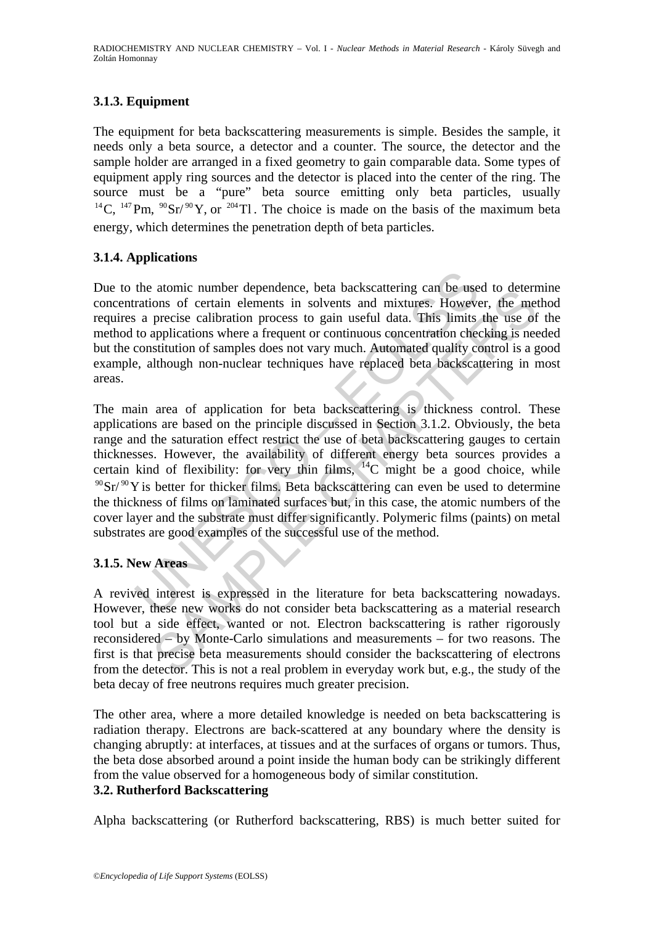# **3.1.3. Equipment**

The equipment for beta backscattering measurements is simple. Besides the sample, it needs only a beta source, a detector and a counter. The source, the detector and the sample holder are arranged in a fixed geometry to gain comparable data. Some types of equipment apply ring sources and the detector is placed into the center of the ring. The source must be a "pure" beta source emitting only beta particles, usually <sup>14</sup> C, <sup>147</sup> Pm, <sup>90</sup> Sr/ <sup>90</sup> Y, or <sup>204</sup> Tl. The choice is made on the basis of the maximum beta energy, which determines the penetration depth of beta particles.

## **3.1.4. Applications**

Due to the atomic number dependence, beta backscattering can be used to determine concentrations of certain elements in solvents and mixtures. However, the method requires a precise calibration process to gain useful data. This limits the use of the method to applications where a frequent or continuous concentration checking is needed but the constitution of samples does not vary much. Automated quality control is a good example, although non-nuclear techniques have replaced beta backscattering in most areas.

the atomic number dependence, beta backscattering can be use<br>rations of certain elements in solvents and mixtures. Howeve<br>s a precise calibration process to gain useful data. This limits<br>to applications where a frequent or about number dependence, beta backscattering can be used to determ<br>ons of certain elements in solvents and mixtures. However, the met<br>precise calibration process to gain useful data. This limits the use of<br>applications whe The main area of application for beta backscattering is thickness control. These applications are based on the principle discussed in Section 3.1.2. Obviously, the beta range and the saturation effect restrict the use of beta backscattering gauges to certain thicknesses. However, the availability of different energy beta sources provides a certain kind of flexibility: for very thin films,  $^{14}$ C might be a good choice, while  $90\,\text{Sr}/90\,\text{Y}$  is better for thicker films. Beta backscattering can even be used to determine the thickness of films on laminated surfaces but, in this case, the atomic numbers of the cover layer and the substrate must differ significantly. Polymeric films (paints) on metal substrates are good examples of the successful use of the method.

## **3.1.5. New Areas**

A revived interest is expressed in the literature for beta backscattering nowadays. However, these new works do not consider beta backscattering as a material research tool but a side effect, wanted or not. Electron backscattering is rather rigorously reconsidered – by Monte-Carlo simulations and measurements – for two reasons. The first is that precise beta measurements should consider the backscattering of electrons from the detector. This is not a real problem in everyday work but, e.g., the study of the beta decay of free neutrons requires much greater precision.

The other area, where a more detailed knowledge is needed on beta backscattering is radiation therapy. Electrons are back-scattered at any boundary where the density is changing abruptly: at interfaces, at tissues and at the surfaces of organs or tumors. Thus, the beta dose absorbed around a point inside the human body can be strikingly different from the value observed for a homogeneous body of similar constitution.

## **3.2. Rutherford Backscattering**

Alpha backscattering (or Rutherford backscattering, RBS) is much better suited for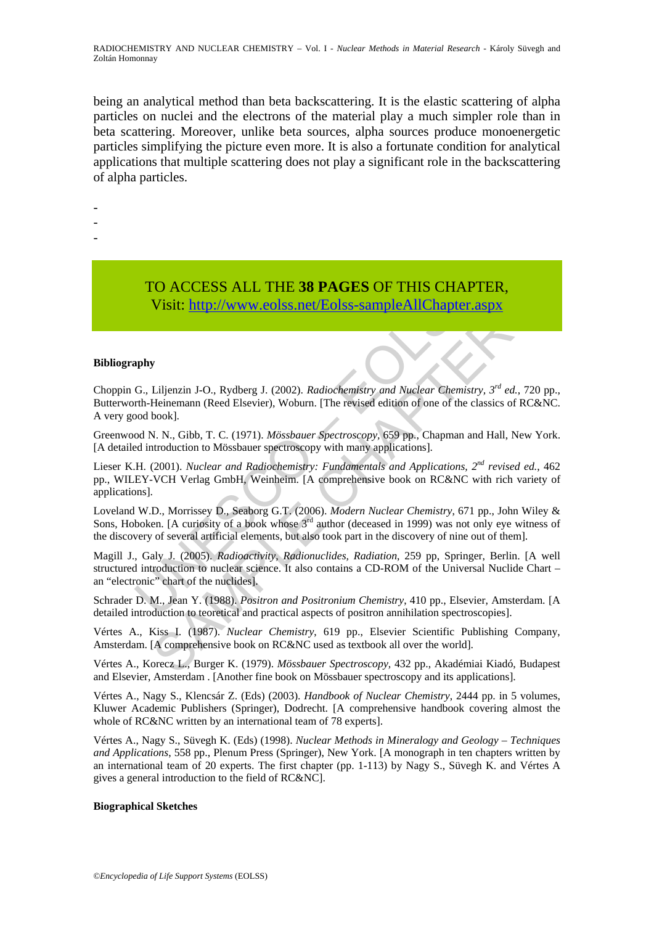RADIOCHEMISTRY AND NUCLEAR CHEMISTRY *–* Vol. I - *Nuclear Methods in Material Research -* Károly Süvegh and Zoltán Homonnay

being an analytical method than beta backscattering. It is the elastic scattering of alpha particles on nuclei and the electrons of the material play a much simpler role than in beta scattering. Moreover, unlike beta sources, alpha sources produce monoenergetic particles simplifying the picture even more. It is also a fortunate condition for analytical applications that multiple scattering does not play a significant role in the backscattering of alpha particles.

- -
- -
- -

# TO ACCESS ALL THE **38 PAGES** OF THIS CHAPTER, Visit: http://www.eolss.net/Eolss-sampleAllChapter.aspx

#### **Bibliography**

Choppin G., Liljenzin J-O., Rydberg J. (2002). *Radiochemistry and Nuclear Chemistry, 3rd ed.*, 720 pp., Butterworth-Heinemann (Reed Elsevier), Woburn. [The revised edition of one of the classics of RC&NC. A very good book].

Greenwood N. N., Gibb, T. C. (1971). *Mössbauer Spectroscopy,* 659 pp., Chapman and Hall, New York. [A detailed introduction to Mössbauer spectroscopy with many applications].

TO ACCESS ALL THE 38 PAGES OF THIS CHAPT<br>Visit: http://www.colss.net/Eolss-sampleAllChapter.a<br>
G., Liljenzin J-O., Rydberg J. (2002). *Radiochemistry and Nuelear Chemistry*<br>
trith-Heinemann (Reed Elsevier), Woburn. [The re **USE CONFIDENTIFY**<br>
Visit: http://www.eolss.net/Eolss-sampleAllChapter.aspx<br>
Visit: http://www.eolss.net/Eolss-sampleAllChapter.aspx<br>
Piliperzin J-O. Rydberg J. (2002). *Radiochemistry and Nuclear Chemistry*,  $3^{rd}$  ed., Lieser K.H. (2001). *Nuclear and Radiochemistry: Fundamentals and Applications, 2nd revised ed.*, 462 pp., WILEY-VCH Verlag GmbH, Weinheim. [A comprehensive book on RC&NC with rich variety of applications].

Loveland W.D., Morrissey D., Seaborg G.T. (2006). *Modern Nuclear Chemistry*, 671 pp., John Wiley & Sons, Hoboken. [A curiosity of a book whose  $3<sup>rd</sup>$  author (deceased in 1999) was not only eye witness of the discovery of several artificial elements, but also took part in the discovery of nine out of them].

Magill J., Galy J. (2005). *Radioactivity, Radionuclides, Radiation*, 259 pp, Springer, Berlin. [A well structured introduction to nuclear science. It also contains a CD-ROM of the Universal Nuclide Chart – an "electronic" chart of the nuclides].

Schrader D. M., Jean Y. (1988). *Positron and Positronium Chemistry*, 410 pp., Elsevier, Amsterdam. [A detailed introduction to teoretical and practical aspects of positron annihilation spectroscopies].

Vértes A., Kiss I. (1987). *Nuclear Chemistry*, 619 pp., Elsevier Scientific Publishing Company, Amsterdam. [A comprehensive book on RC&NC used as textbook all over the world].

Vértes A., Korecz L., Burger K. (1979). *Mössbauer Spectroscopy,* 432 pp., Akadémiai Kiadó, Budapest and Elsevier, Amsterdam . [Another fine book on Mössbauer spectroscopy and its applications].

Vértes A., Nagy S., Klencsár Z. (Eds) (2003). *Handbook of Nuclear Chemistry*, 2444 pp. in 5 volumes, Kluwer Academic Publishers (Springer), Dodrecht. [A comprehensive handbook covering almost the whole of RC&NC written by an international team of 78 experts.

Vértes A., Nagy S., Süvegh K. (Eds) (1998). *Nuclear Methods in Mineralogy and Geology – Techniques and Applications*, 558 pp., Plenum Press (Springer), New York. [A monograph in ten chapters written by an international team of 20 experts. The first chapter (pp. 1-113) by Nagy S., Süvegh K. and Vértes A gives a general introduction to the field of RC&NC].

#### **Biographical Sketches**